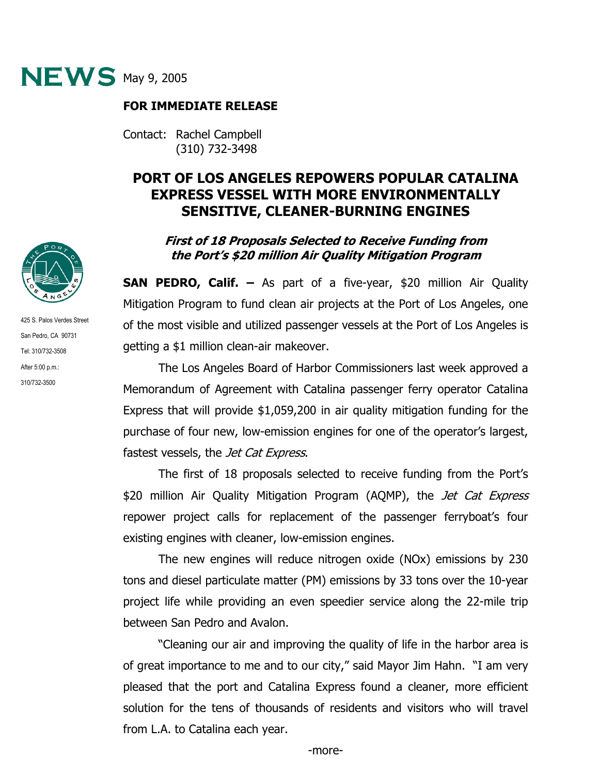

## **FOR IMMEDIATE RELEASE**

Contact: Rachel Campbell (310) 732-3498

# **PORT OF LOS ANGELES REPOWERS POPULAR CATALINA EXPRESS VESSEL WITH MORE ENVIRONMENTALLY SENSITIVE, CLEANER-BURNING ENGINES**

## **First of 18 Proposals Selected to Receive Funding from the Port's \$20 million Air Quality Mitigation Program**

**SAN PEDRO, Calif. –** As part of a five-year, \$20 million Air Quality Mitigation Program to fund clean air projects at the Port of Los Angeles, one of the most visible and utilized passenger vessels at the Port of Los Angeles is getting a \$1 million clean-air makeover.

The Los Angeles Board of Harbor Commissioners last week approved a Memorandum of Agreement with Catalina passenger ferry operator Catalina Express that will provide \$1,059,200 in air quality mitigation funding for the purchase of four new, low-emission engines for one of the operator's largest, fastest vessels, the *Jet Cat Express*.

The first of 18 proposals selected to receive funding from the Port's \$20 million Air Quality Mitigation Program (AQMP), the Jet Cat Express repower project calls for replacement of the passenger ferryboat's four existing engines with cleaner, low-emission engines.

The new engines will reduce nitrogen oxide (NOx) emissions by 230 tons and diesel particulate matter (PM) emissions by 33 tons over the 10-year project life while providing an even speedier service along the 22-mile trip between San Pedro and Avalon.

"Cleaning our air and improving the quality of life in the harbor area is of great importance to me and to our city," said Mayor Jim Hahn. "I am very pleased that the port and Catalina Express found a cleaner, more efficient solution for the tens of thousands of residents and visitors who will travel from L.A. to Catalina each year.



425 S. Palos Verdes Street San Pedro, CA 90731 Tel: 310/732-3508 After 5:00 p.m.: 310/732-3500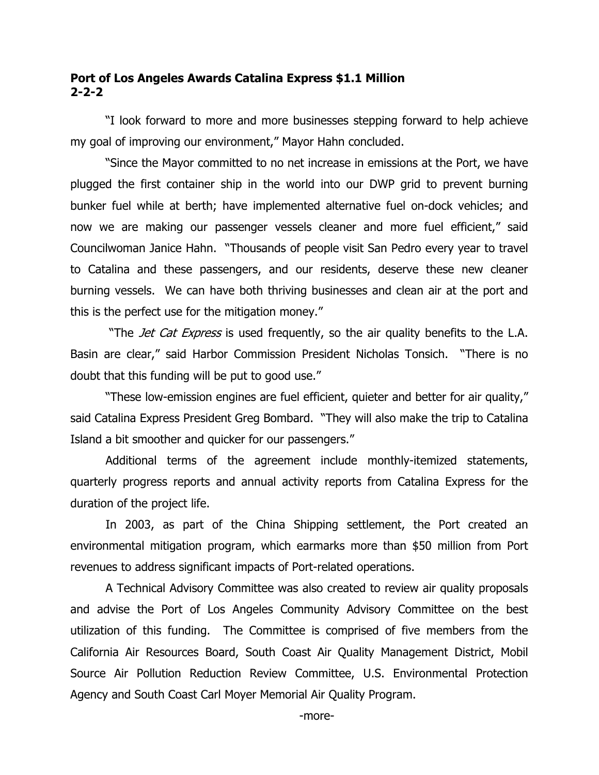## **Port of Los Angeles Awards Catalina Express \$1.1 Million 2-2-2**

"I look forward to more and more businesses stepping forward to help achieve my goal of improving our environment," Mayor Hahn concluded.

"Since the Mayor committed to no net increase in emissions at the Port, we have plugged the first container ship in the world into our DWP grid to prevent burning bunker fuel while at berth; have implemented alternative fuel on-dock vehicles; and now we are making our passenger vessels cleaner and more fuel efficient," said Councilwoman Janice Hahn. "Thousands of people visit San Pedro every year to travel to Catalina and these passengers, and our residents, deserve these new cleaner burning vessels. We can have both thriving businesses and clean air at the port and this is the perfect use for the mitigation money."

"The *Jet Cat Express* is used frequently, so the air quality benefits to the L.A. Basin are clear," said Harbor Commission President Nicholas Tonsich. "There is no doubt that this funding will be put to good use."

"These low-emission engines are fuel efficient, quieter and better for air quality," said Catalina Express President Greg Bombard. "They will also make the trip to Catalina Island a bit smoother and quicker for our passengers."

Additional terms of the agreement include monthly-itemized statements, quarterly progress reports and annual activity reports from Catalina Express for the duration of the project life.

In 2003, as part of the China Shipping settlement, the Port created an environmental mitigation program, which earmarks more than \$50 million from Port revenues to address significant impacts of Port-related operations.

A Technical Advisory Committee was also created to review air quality proposals and advise the Port of Los Angeles Community Advisory Committee on the best utilization of this funding. The Committee is comprised of five members from the California Air Resources Board, South Coast Air Quality Management District, Mobil Source Air Pollution Reduction Review Committee, U.S. Environmental Protection Agency and South Coast Carl Moyer Memorial Air Quality Program.

-more-